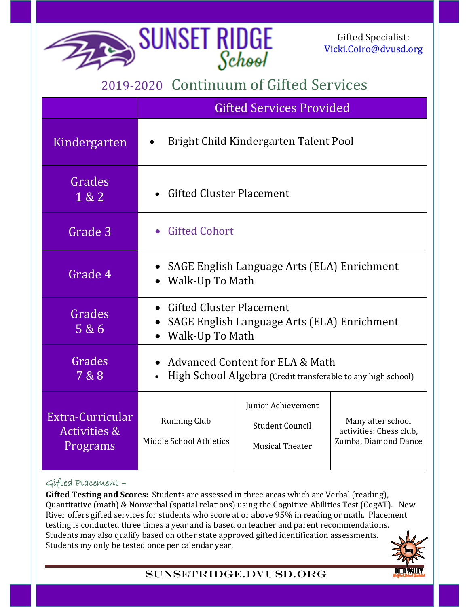Gifted Specialist: Vicki.Coiro@dvusd.org

## 2019-2020 Continuum of Gifted Services

**SUNSET RIDGE** 

|                                                         | <b>Gifted Services Provided</b>                                                                   |                                                                        |                                                                      |
|---------------------------------------------------------|---------------------------------------------------------------------------------------------------|------------------------------------------------------------------------|----------------------------------------------------------------------|
| Kindergarten                                            | Bright Child Kindergarten Talent Pool<br>$\bullet$                                                |                                                                        |                                                                      |
| Grades<br>1 & 2                                         | <b>Gifted Cluster Placement</b>                                                                   |                                                                        |                                                                      |
| Grade 3                                                 | • Gifted Cohort                                                                                   |                                                                        |                                                                      |
| Grade 4                                                 | SAGE English Language Arts (ELA) Enrichment<br>Walk-Up To Math                                    |                                                                        |                                                                      |
| Grades<br>5 & 6                                         | <b>Gifted Cluster Placement</b><br>SAGE English Language Arts (ELA) Enrichment<br>Walk-Up To Math |                                                                        |                                                                      |
| Grades<br>7 & 8                                         | Advanced Content for ELA & Math<br>High School Algebra (Credit transferable to any high school)   |                                                                        |                                                                      |
| Extra-Curricular<br><b>Activities &amp;</b><br>Programs | <b>Running Club</b><br>Middle School Athletics                                                    | Junior Achievement<br><b>Student Council</b><br><b>Musical Theater</b> | Many after school<br>activities: Chess club.<br>Zumba, Diamond Dance |

## Gifted Placement –

**Gifted Testing and Scores:** Students are assessed in three areas which are Verbal (reading), Quantitative (math) & Nonverbal (spatial relations) using the Cognitive Abilities Test (CogAT). New River offers gifted services for students who score at or above 95% in reading or math. Placement testing is conducted three times a year and is based on teacher and parent recommendations. Students may also qualify based on other state approved gifted identification assessments. Students my only be tested once per calendar year.



## Sunsetridge.dvusd.org